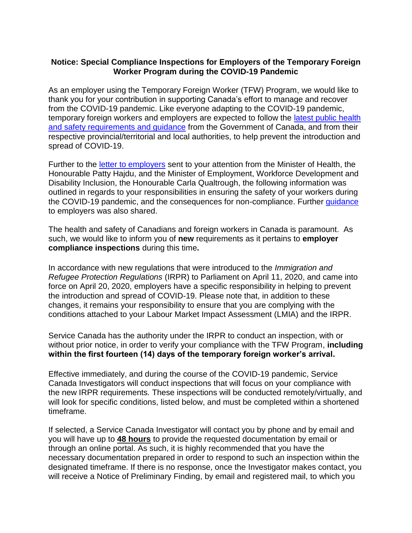## **Notice: Special Compliance Inspections for Employers of the Temporary Foreign Worker Program during the COVID-19 Pandemic**

As an employer using the Temporary Foreign Worker (TFW) Program, we would like to thank you for your contribution in supporting Canada's effort to manage and recover from the COVID-19 pandemic. Like everyone adapting to the COVID-19 pandemic, temporary foreign workers and employers are expected to follow the latest public health [and safety requirements and guidance](https://www.canada.ca/en/public-health/services/diseases/2019-novel-coronavirus-infection.html) from the Government of Canada, and from their respective provincial/territorial and local authorities, to help prevent the introduction and spread of COVID-19.

Further to the [letter to employers](https://www.canada.ca/en/employment-social-development/corporate/notices/minister-letter-foreign-workers.html) sent to your attention from the Minister of Health, the Honourable Patty Hajdu, and the Minister of Employment, Workforce Development and Disability Inclusion, the Honourable Carla Qualtrough, the following information was outlined in regards to your responsibilities in ensuring the safety of your workers during the COVID-19 pandemic, and the consequences for non-compliance. Further [guidance](https://www.canada.ca/en/employment-social-development/services/foreign-workers/employer-compliance/covid-guidance.html) to employers was also shared.

The health and safety of Canadians and foreign workers in Canada is paramount. As such, we would like to inform you of **new** requirements as it pertains to **employer compliance inspections** during this time**.**

In accordance with new regulations that were introduced to the *Immigration and Refugee Protection Regulations* (IRPR) to Parliament on April 11, 2020, and came into force on April 20, 2020, employers have a specific responsibility in helping to prevent the introduction and spread of COVID-19. Please note that, in addition to these changes, it remains your responsibility to ensure that you are complying with the conditions attached to your Labour Market Impact Assessment (LMIA) and the IRPR.

Service Canada has the authority under the IRPR to conduct an inspection, with or without prior notice, in order to verify your compliance with the TFW Program, **including within the first fourteen (14) days of the temporary foreign worker's arrival.** 

Effective immediately, and during the course of the COVID-19 pandemic, Service Canada Investigators will conduct inspections that will focus on your compliance with the new IRPR requirements*.* These inspections will be conducted remotely/virtually, and will look for specific conditions, listed below, and must be completed within a shortened timeframe.

If selected, a Service Canada Investigator will contact you by phone and by email and you will have up to **48 hours** to provide the requested documentation by email or through an online portal. As such, it is highly recommended that you have the necessary documentation prepared in order to respond to such an inspection within the designated timeframe. If there is no response, once the Investigator makes contact, you will receive a Notice of Preliminary Finding, by email and registered mail, to which you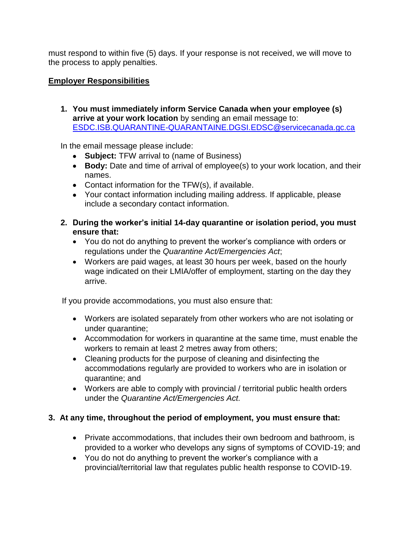must respond to within five (5) days. If your response is not received, we will move to the process to apply penalties.

## **Employer Responsibilities**

**1. You must immediately inform Service Canada when your employee (s) arrive at your work location** by sending an email message to: [ESDC.ISB.QUARANTINE-QUARANTAINE.DGSI.EDSC@servicecanada.gc.ca](mailto:ESDC.ISB.QUARANTINE-QUARANTAINE.DGSI.EDSC@servicecanada.gc.ca?subject=TFW%20Arrival%20to%20[Business%20Name])

In the email message please include:

- **Subject:** TFW arrival to (name of Business)
- **Body:** Date and time of arrival of employee(s) to your work location, and their names.
- Contact information for the TFW(s), if available.
- Your contact information including mailing address. If applicable, please include a secondary contact information.
- **2. During the worker's initial 14-day quarantine or isolation period, you must ensure that:**
	- You do not do anything to prevent the worker's compliance with orders or regulations under the *Quarantine Act/Emergencies Act*;
	- Workers are paid wages, at least 30 hours per week, based on the hourly wage indicated on their LMIA/offer of employment, starting on the day they arrive.

If you provide accommodations, you must also ensure that:

- Workers are isolated separately from other workers who are not isolating or under quarantine;
- Accommodation for workers in quarantine at the same time, must enable the workers to remain at least 2 metres away from others;
- Cleaning products for the purpose of cleaning and disinfecting the accommodations regularly are provided to workers who are in isolation or quarantine; and
- Workers are able to comply with provincial / territorial public health orders under the *Quarantine Act/Emergencies Act.*

# **3. At any time, throughout the period of employment, you must ensure that:**

- Private accommodations, that includes their own bedroom and bathroom, is provided to a worker who develops any signs of symptoms of COVID-19; and
- You do not do anything to prevent the worker's compliance with a provincial/territorial law that regulates public health response to COVID-19.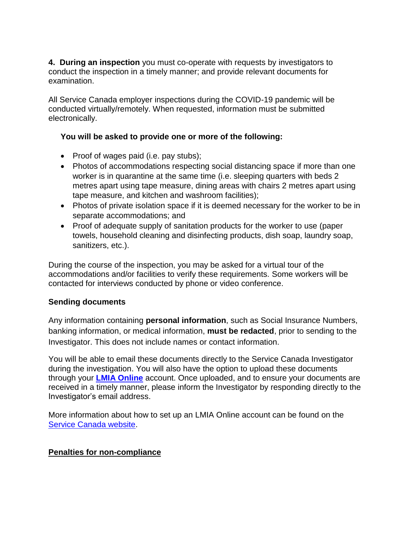**4. During an inspection** you must co-operate with requests by investigators to conduct the inspection in a timely manner; and provide relevant documents for examination.

All Service Canada employer inspections during the COVID-19 pandemic will be conducted virtually/remotely. When requested, information must be submitted electronically.

## **You will be asked to provide one or more of the following:**

- Proof of wages paid (i.e. pay stubs);
- Photos of accommodations respecting social distancing space if more than one worker is in quarantine at the same time (i.e. sleeping quarters with beds 2 metres apart using tape measure, dining areas with chairs 2 metres apart using tape measure, and kitchen and washroom facilities);
- Photos of private isolation space if it is deemed necessary for the worker to be in separate accommodations; and
- Proof of adequate supply of sanitation products for the worker to use (paper towels, household cleaning and disinfecting products, dish soap, laundry soap, sanitizers, etc.).

During the course of the inspection, you may be asked for a virtual tour of the accommodations and/or facilities to verify these requirements. Some workers will be contacted for interviews conducted by phone or video conference.

## **Sending documents**

Any information containing **personal information**, such as Social Insurance Numbers, banking information, or medical information, **must be redacted**, prior to sending to the Investigator. This does not include names or contact information.

You will be able to email these documents directly to the Service Canada Investigator during the investigation. You will also have the option to upload these documents through your **[LMIA Online](https://tfwp-jb.lmia.esdc.gc.ca/employer/)** account. Once uploaded, and to ensure your documents are received in a timely manner, please inform the Investigator by responding directly to the Investigator's email address.

More information about how to set up an LMIA Online account can be found on the [Service Canada website.](https://www.canada.ca/en/employment-social-development/corporate/notices/labour-market-impact-assessment-apply-online.html)

## **Penalties for non-compliance**